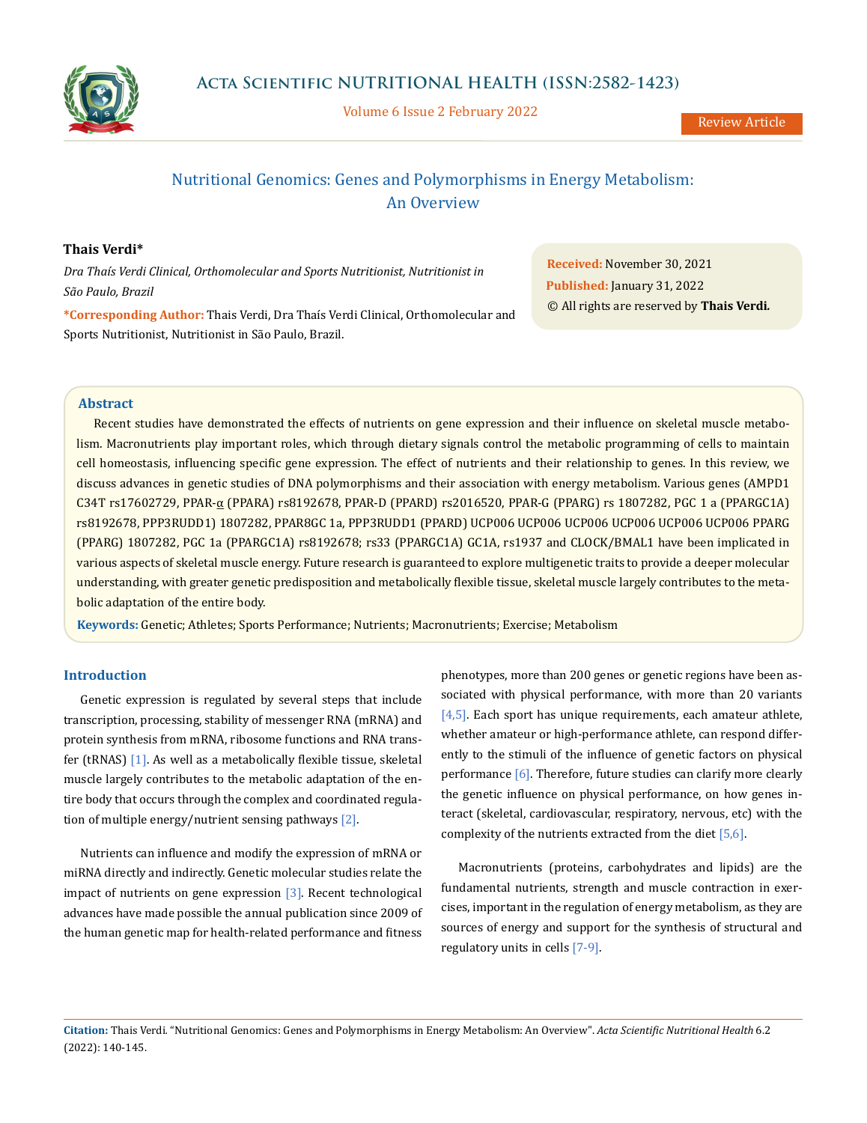

Volume 6 Issue 2 February 2022

# Nutritional Genomics: Genes and Polymorphisms in Energy Metabolism: An Overview

# **Thais Verdi\***

*Dra Thaís Verdi Clinical, Orthomolecular and Sports Nutritionist, Nutritionist in São Paulo, Brazil*

**\*Corresponding Author:** Thais Verdi, Dra Thaís Verdi Clinical, Orthomolecular and Sports Nutritionist, Nutritionist in São Paulo, Brazil.

**Received:** November 30, 2021 **Published:** January 31, 2022 © All rights are reserved by **Thais Verdi***.*

## **Abstract**

Recent studies have demonstrated the effects of nutrients on gene expression and their influence on skeletal muscle metabolism. Macronutrients play important roles, which through dietary signals control the metabolic programming of cells to maintain cell homeostasis, influencing specific gene expression. The effect of nutrients and their relationship to genes. In this review, we discuss advances in genetic studies of DNA polymorphisms and their association with energy metabolism. Various genes (AMPD1 C34T rs17602729, PPAR-a (PPARA) rs8192678, PPAR-D (PPARD) rs2016520, PPAR-G (PPARG) rs 1807282, PGC 1 a (PPARGC1A) rs8192678, PPP3RUDD1) 1807282, PPAR8GC 1a, PPP3RUDD1 (PPARD) UCP006 UCP006 UCP006 UCP006 UCP006 UCP006 PPARG (PPARG) 1807282, PGC 1a (PPARGC1A) rs8192678; rs33 (PPARGC1A) GC1A, rs1937 and CLOCK/BMAL1 have been implicated in various aspects of skeletal muscle energy. Future research is guaranteed to explore multigenetic traits to provide a deeper molecular understanding, with greater genetic predisposition and metabolically flexible tissue, skeletal muscle largely contributes to the metabolic adaptation of the entire body.

**Keywords:** Genetic; Athletes; Sports Performance; Nutrients; Macronutrients; Exercise; Metabolism

## **Introduction**

Genetic expression is regulated by several steps that include transcription, processing, stability of messenger RNA (mRNA) and protein synthesis from mRNA, ribosome functions and RNA transfer (tRNAS) [1]. As well as a metabolically flexible tissue, skeletal muscle largely contributes to the metabolic adaptation of the entire body that occurs through the complex and coordinated regulation of multiple energy/nutrient sensing pathways [2].

Nutrients can influence and modify the expression of mRNA or miRNA directly and indirectly. Genetic molecular studies relate the impact of nutrients on gene expression [3]. Recent technological advances have made possible the annual publication since 2009 of the human genetic map for health-related performance and fitness

phenotypes, more than 200 genes or genetic regions have been associated with physical performance, with more than 20 variants  $[4,5]$ . Each sport has unique requirements, each amateur athlete, whether amateur or high-performance athlete, can respond differently to the stimuli of the influence of genetic factors on physical performance [6]. Therefore, future studies can clarify more clearly the genetic influence on physical performance, on how genes interact (skeletal, cardiovascular, respiratory, nervous, etc) with the complexity of the nutrients extracted from the diet [5,6].

Macronutrients (proteins, carbohydrates and lipids) are the fundamental nutrients, strength and muscle contraction in exercises, important in the regulation of energy metabolism, as they are sources of energy and support for the synthesis of structural and regulatory units in cells [7-9].

**Citation:** Thais Verdi*.* "Nutritional Genomics: Genes and Polymorphisms in Energy Metabolism: An Overview". *Acta Scientific Nutritional Health* 6.2 (2022): 140-145.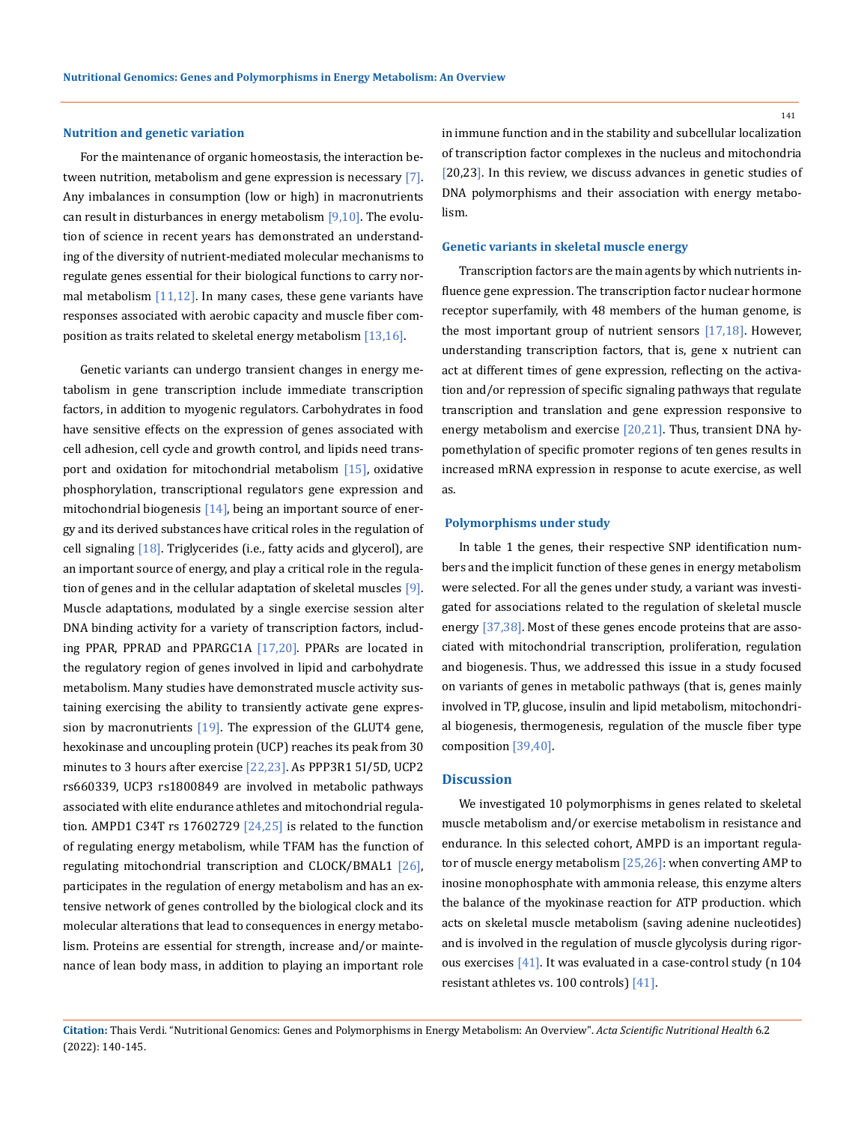#### **Nutrition and genetic variation**

For the maintenance of organic homeostasis, the interaction between nutrition, metabolism and gene expression is necessary [7]. Any imbalances in consumption (low or high) in macronutrients can result in disturbances in energy metabolism  $[9,10]$ . The evolution of science in recent years has demonstrated an understanding of the diversity of nutrient-mediated molecular mechanisms to regulate genes essential for their biological functions to carry normal metabolism [11,12]. In many cases, these gene variants have responses associated with aerobic capacity and muscle fiber composition as traits related to skeletal energy metabolism [13,16].

Genetic variants can undergo transient changes in energy metabolism in gene transcription include immediate transcription factors, in addition to myogenic regulators. Carbohydrates in food have sensitive effects on the expression of genes associated with cell adhesion, cell cycle and growth control, and lipids need transport and oxidation for mitochondrial metabolism [15], oxidative phosphorylation, transcriptional regulators gene expression and mitochondrial biogenesis  $[14]$ , being an important source of energy and its derived substances have critical roles in the regulation of cell signaling  $[18]$ . Triglycerides (i.e., fatty acids and glycerol), are an important source of energy, and play a critical role in the regulation of genes and in the cellular adaptation of skeletal muscles [9]. Muscle adaptations, modulated by a single exercise session alter DNA binding activity for a variety of transcription factors, including PPAR, PPRAD and PPARGC1A [17,20]. PPARs are located in the regulatory region of genes involved in lipid and carbohydrate metabolism. Many studies have demonstrated muscle activity sustaining exercising the ability to transiently activate gene expression by macronutrients  $[19]$ . The expression of the GLUT4 gene, hexokinase and uncoupling protein (UCP) reaches its peak from 30 minutes to 3 hours after exercise [22,23]. As PPP3R1 5I/5D, UCP2 rs660339, UCP3 rs1800849 are involved in metabolic pathways associated with elite endurance athletes and mitochondrial regulation. AMPD1 C34T rs 17602729  $[24,25]$  is related to the function of regulating energy metabolism, while TFAM has the function of regulating mitochondrial transcription and CLOCK/BMAL1 [26], participates in the regulation of energy metabolism and has an extensive network of genes controlled by the biological clock and its molecular alterations that lead to consequences in energy metabolism. Proteins are essential for strength, increase and/or maintenance of lean body mass, in addition to playing an important role

in immune function and in the stability and subcellular localization of transcription factor complexes in the nucleus and mitochondria [20,23]. In this review, we discuss advances in genetic studies of DNA polymorphisms and their association with energy metabolism.

#### **Genetic variants in skeletal muscle energy**

Transcription factors are the main agents by which nutrients influence gene expression. The transcription factor nuclear hormone receptor superfamily, with 48 members of the human genome, is the most important group of nutrient sensors [17,18]. However, understanding transcription factors, that is, gene x nutrient can act at different times of gene expression, reflecting on the activation and/or repression of specific signaling pathways that regulate transcription and translation and gene expression responsive to energy metabolism and exercise [20,21]. Thus, transient DNA hypomethylation of specific promoter regions of ten genes results in increased mRNA expression in response to acute exercise, as well as.

#### **Polymorphisms under study**

In table 1 the genes, their respective SNP identification numbers and the implicit function of these genes in energy metabolism were selected. For all the genes under study, a variant was investigated for associations related to the regulation of skeletal muscle energy [37,38]. Most of these genes encode proteins that are associated with mitochondrial transcription, proliferation, regulation and biogenesis. Thus, we addressed this issue in a study focused on variants of genes in metabolic pathways (that is, genes mainly involved in TP, glucose, insulin and lipid metabolism, mitochondrial biogenesis, thermogenesis, regulation of the muscle fiber type composition [39,40].

#### **Discussion**

We investigated 10 polymorphisms in genes related to skeletal muscle metabolism and/or exercise metabolism in resistance and endurance. In this selected cohort, AMPD is an important regulator of muscle energy metabolism [25,26]: when converting AMP to inosine monophosphate with ammonia release, this enzyme alters the balance of the myokinase reaction for ATP production. which acts on skeletal muscle metabolism (saving adenine nucleotides) and is involved in the regulation of muscle glycolysis during rigorous exercises [41]. It was evaluated in a case-control study (n 104 resistant athletes vs. 100 controls) [41].

## **Citation:** Thais Verdi*.* "Nutritional Genomics: Genes and Polymorphisms in Energy Metabolism: An Overview". *Acta Scientific Nutritional Health* 6.2 (2022): 140-145.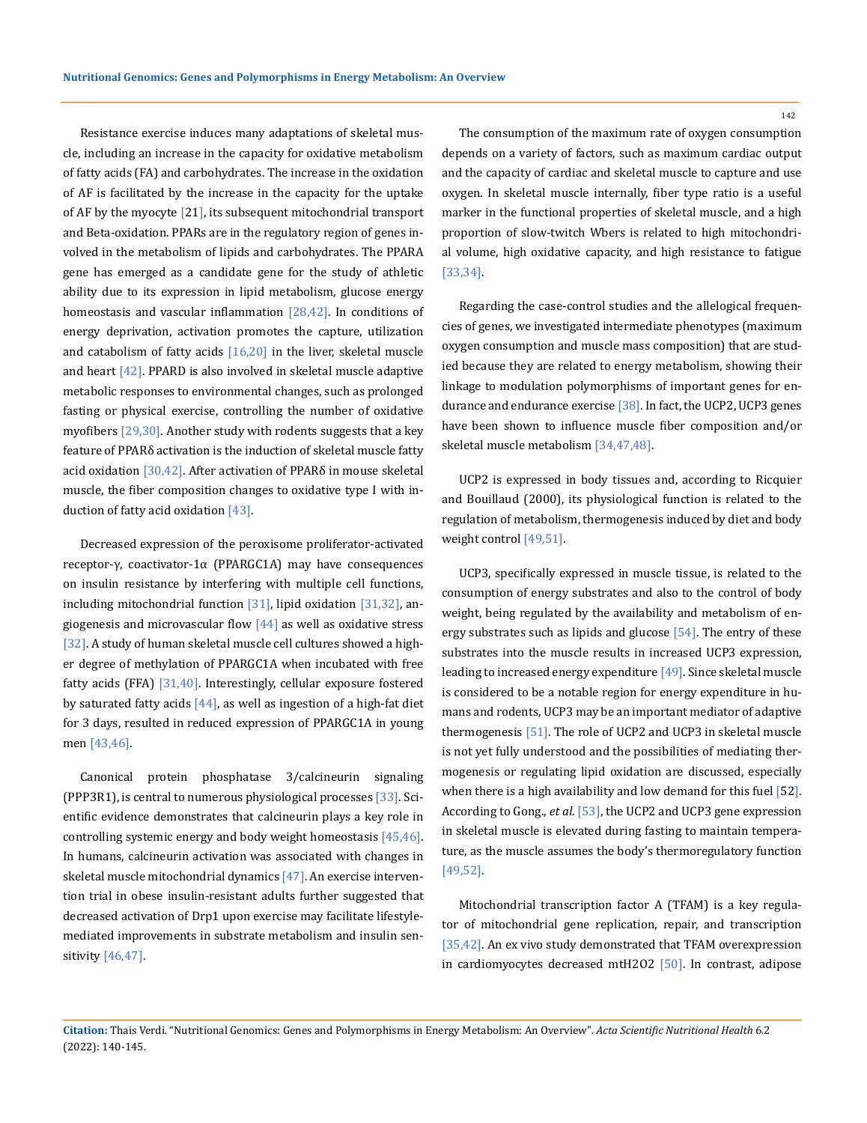Resistance exercise induces many adaptations of skeletal muscle, including an increase in the capacity for oxidative metabolism of fatty acids (FA) and carbohydrates. The increase in the oxidation of AF is facilitated by the increase in the capacity for the uptake of AF by the myocyte [21], its subsequent mitochondrial transport and Beta-oxidation. PPARs are in the regulatory region of genes involved in the metabolism of lipids and carbohydrates. The PPARA gene has emerged as a candidate gene for the study of athletic ability due to its expression in lipid metabolism, glucose energy homeostasis and vascular inflammation [28,42]. In conditions of energy deprivation, activation promotes the capture, utilization and catabolism of fatty acids  $[16,20]$  in the liver, skeletal muscle and heart [42]. PPARD is also involved in skeletal muscle adaptive metabolic responses to environmental changes, such as prolonged fasting or physical exercise, controlling the number of oxidative myofibers [29,30]. Another study with rodents suggests that a key feature of PPARδ activation is the induction of skeletal muscle fatty acid oxidation [30,42]. After activation of PPARδ in mouse skeletal muscle, the fiber composition changes to oxidative type I with induction of fatty acid oxidation [43].

Decreased expression of the peroxisome proliferator-activated receptor-γ, coactivator-1α (PPARGC1A) may have consequences on insulin resistance by interfering with multiple cell functions, including mitochondrial function  $[31]$ , lipid oxidation  $[31,32]$ , angiogenesis and microvascular flow  $[44]$  as well as oxidative stress [32]. A study of human skeletal muscle cell cultures showed a higher degree of methylation of PPARGC1A when incubated with free fatty acids (FFA) [31,40]. Interestingly, cellular exposure fostered by saturated fatty acids  $[44]$ , as well as ingestion of a high-fat diet for 3 days, resulted in reduced expression of PPARGC1A in young men [43,46].

Canonical protein phosphatase 3/calcineurin signaling (PPP3R1), is central to numerous physiological processes [33]. Scientific evidence demonstrates that calcineurin plays a key role in controlling systemic energy and body weight homeostasis [45,46]. In humans, calcineurin activation was associated with changes in skeletal muscle mitochondrial dynamics [47]. An exercise intervention trial in obese insulin-resistant adults further suggested that decreased activation of Drp1 upon exercise may facilitate lifestylemediated improvements in substrate metabolism and insulin sensitivity [46,47].

The consumption of the maximum rate of oxygen consumption depends on a variety of factors, such as maximum cardiac output and the capacity of cardiac and skeletal muscle to capture and use oxygen. In skeletal muscle internally, fiber type ratio is a useful marker in the functional properties of skeletal muscle, and a high proportion of slow-twitch Wbers is related to high mitochondrial volume, high oxidative capacity, and high resistance to fatigue [33,34].

Regarding the case-control studies and the allelogical frequencies of genes, we investigated intermediate phenotypes (maximum oxygen consumption and muscle mass composition) that are studied because they are related to energy metabolism, showing their linkage to modulation polymorphisms of important genes for endurance and endurance exercise [38]. In fact, the UCP2, UCP3 genes have been shown to influence muscle fiber composition and/or skeletal muscle metabolism [34,47,48].

UCP2 is expressed in body tissues and, according to Ricquier and Bouillaud (2000), its physiological function is related to the regulation of metabolism, thermogenesis induced by diet and body weight control [49,51].

UCP3, specifically expressed in muscle tissue, is related to the consumption of energy substrates and also to the control of body weight, being regulated by the availability and metabolism of energy substrates such as lipids and glucose [54]. The entry of these substrates into the muscle results in increased UCP3 expression, leading to increased energy expenditure [49]. Since skeletal muscle is considered to be a notable region for energy expenditure in humans and rodents, UCP3 may be an important mediator of adaptive thermogenesis [51]. The role of UCP2 and UCP3 in skeletal muscle is not yet fully understood and the possibilities of mediating thermogenesis or regulating lipid oxidation are discussed, especially when there is a high availability and low demand for this fuel [52]. According to Gong., *et al.* [53], the UCP2 and UCP3 gene expression in skeletal muscle is elevated during fasting to maintain temperature, as the muscle assumes the body's thermoregulatory function [49,52].

Mitochondrial transcription factor A (TFAM) is a key regulator of mitochondrial gene replication, repair, and transcription [35,42]. An ex vivo study demonstrated that TFAM overexpression in cardiomyocytes decreased mtH2O2 [50]. In contrast, adipose

**Citation:** Thais Verdi*.* "Nutritional Genomics: Genes and Polymorphisms in Energy Metabolism: An Overview". *Acta Scientific Nutritional Health* 6.2 (2022): 140-145.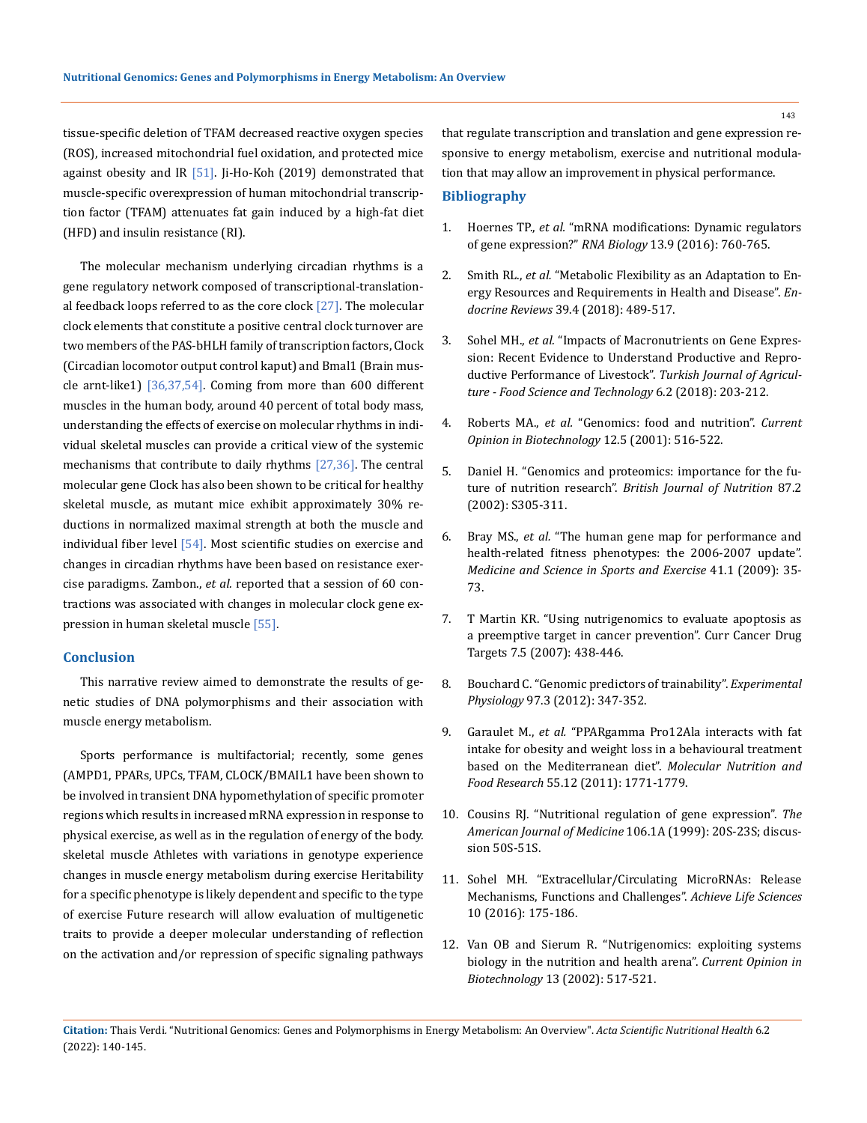tissue-specific deletion of TFAM decreased reactive oxygen species (ROS), increased mitochondrial fuel oxidation, and protected mice against obesity and IR  $[51]$ . Ji-Ho-Koh (2019) demonstrated that muscle-specific overexpression of human mitochondrial transcription factor (TFAM) attenuates fat gain induced by a high-fat diet (HFD) and insulin resistance (RI).

The molecular mechanism underlying circadian rhythms is a gene regulatory network composed of transcriptional-translational feedback loops referred to as the core clock  $[27]$ . The molecular clock elements that constitute a positive central clock turnover are two members of the PAS-bHLH family of transcription factors, Clock (Circadian locomotor output control kaput) and Bmal1 (Brain muscle arnt-like1)  $[36,37,54]$ . Coming from more than 600 different muscles in the human body, around 40 percent of total body mass, understanding the effects of exercise on molecular rhythms in individual skeletal muscles can provide a critical view of the systemic mechanisms that contribute to daily rhythms  $[27,36]$ . The central molecular gene Clock has also been shown to be critical for healthy skeletal muscle, as mutant mice exhibit approximately 30% reductions in normalized maximal strength at both the muscle and individual fiber level  $[54]$ . Most scientific studies on exercise and changes in circadian rhythms have been based on resistance exercise paradigms. Zambon., *et al.* reported that a session of 60 contractions was associated with changes in molecular clock gene expression in human skeletal muscle [55].

## **Conclusion**

This narrative review aimed to demonstrate the results of genetic studies of DNA polymorphisms and their association with muscle energy metabolism.

Sports performance is multifactorial; recently, some genes (AMPD1, PPARs, UPCs, TFAM, CLOCK/BMAIL1 have been shown to be involved in transient DNA hypomethylation of specific promoter regions which results in increased mRNA expression in response to physical exercise, as well as in the regulation of energy of the body. skeletal muscle Athletes with variations in genotype experience changes in muscle energy metabolism during exercise Heritability for a specific phenotype is likely dependent and specific to the type of exercise Future research will allow evaluation of multigenetic traits to provide a deeper molecular understanding of reflection on the activation and/or repression of specific signaling pathways

that regulate transcription and translation and gene expression responsive to energy metabolism, exercise and nutritional modulation that may allow an improvement in physical performance.

#### **Bibliography**

- 1. Hoernes TP., *et al.* ["mRNA modifications: Dynamic regulators](https://pubmed.ncbi.nlm.nih.gov/27351916/)  of gene expression?" *RNA Biology* [13.9 \(2016\): 760-765.](https://pubmed.ncbi.nlm.nih.gov/27351916/)
- 2. Smith RL., *et al.* ["Metabolic Flexibility as an Adaptation to En](https://pubmed.ncbi.nlm.nih.gov/29697773/)[ergy Resources and Requirements in Health and Disease".](https://pubmed.ncbi.nlm.nih.gov/29697773/) *Endocrine Reviews* [39.4 \(2018\): 489-517.](https://pubmed.ncbi.nlm.nih.gov/29697773/)
- 3. Sohel MH., *et al.* ["Impacts of Macronutrients on Gene Expres](http://agrifoodscience.com/index.php/TURJAF/article/view/1573)[sion: Recent Evidence to Understand Productive and Repro](http://agrifoodscience.com/index.php/TURJAF/article/view/1573)[ductive Performance of Livestock".](http://agrifoodscience.com/index.php/TURJAF/article/view/1573) *Turkish Journal of Agricul[ture - Food Science and Technology](http://agrifoodscience.com/index.php/TURJAF/article/view/1573)* 6.2 (2018): 203-212.
- 4. Roberts MA., *et al.* ["Genomics: food and nutrition".](https://pubmed.ncbi.nlm.nih.gov/11604331/) *Current [Opinion in Biotechnology](https://pubmed.ncbi.nlm.nih.gov/11604331/)* 12.5 (2001): 516-522.
- 5. [Daniel H. "Genomics and proteomics: importance for the fu](https://pubmed.ncbi.nlm.nih.gov/12088535/)ture of nutrition research". *[British Journal of Nutrition](https://pubmed.ncbi.nlm.nih.gov/12088535/)* 87.2 [\(2002\): S305-311.](https://pubmed.ncbi.nlm.nih.gov/12088535/)
- 6. Bray MS., *et al.* ["The human gene map for performance and](https://pubmed.ncbi.nlm.nih.gov/19123262/)  [health-related fitness phenotypes: the 2006-2007 update".](https://pubmed.ncbi.nlm.nih.gov/19123262/)  *[Medicine and Science in Sports and Exercise](https://pubmed.ncbi.nlm.nih.gov/19123262/)* 41.1 (2009): 35- [73.](https://pubmed.ncbi.nlm.nih.gov/19123262/)
- 7. [T Martin KR. "Using nutrigenomics to evaluate apoptosis as](https://www.eurekaselect.com/article/4517)  [a preemptive target in cancer prevention". Curr Cancer Drug](https://www.eurekaselect.com/article/4517)  [Targets 7.5 \(2007\): 438-446.](https://www.eurekaselect.com/article/4517)
- 8. [Bouchard C. "Genomic predictors of trainability".](https://pubmed.ncbi.nlm.nih.gov/21967902/) *Experimental Physiology* [97.3 \(2012\): 347-352.](https://pubmed.ncbi.nlm.nih.gov/21967902/)
- 9. Garaulet M., *et al.* ["PPARgamma Pro12Ala interacts with fat](https://pubmed.ncbi.nlm.nih.gov/22102511/)  [intake for obesity and weight loss in a behavioural treatment](https://pubmed.ncbi.nlm.nih.gov/22102511/)  [based on the Mediterranean diet".](https://pubmed.ncbi.nlm.nih.gov/22102511/) *Molecular Nutrition and Food Research* [55.12 \(2011\): 1771-1779.](https://pubmed.ncbi.nlm.nih.gov/22102511/)
- 10. [Cousins RJ. "Nutritional regulation of gene expression".](https://pubmed.ncbi.nlm.nih.gov/10089110/) *The [American Journal of Medicine](https://pubmed.ncbi.nlm.nih.gov/10089110/)* 106.1A (1999): 20S-23S; discus[sion 50S-51S.](https://pubmed.ncbi.nlm.nih.gov/10089110/)
- 11. [Sohel MH. "Extracellular/Circulating MicroRNAs: Release](https://www.sciencedirect.com/science/article/pii/S2078152016300797)  [Mechanisms, Functions and Challenges".](https://www.sciencedirect.com/science/article/pii/S2078152016300797) *Achieve Life Sciences*  [10 \(2016\): 175-186.](https://www.sciencedirect.com/science/article/pii/S2078152016300797)
- 12. [Van OB and Sierum R. "Nutrigenomics: exploiting systems](https://pubmed.ncbi.nlm.nih.gov/12459347/)  biology in the nutrition and health arena". *Current Opinion in Biotechnology* [13 \(2002\): 517-521.](https://pubmed.ncbi.nlm.nih.gov/12459347/)

**Citation:** Thais Verdi*.* "Nutritional Genomics: Genes and Polymorphisms in Energy Metabolism: An Overview". *Acta Scientific Nutritional Health* 6.2 (2022): 140-145.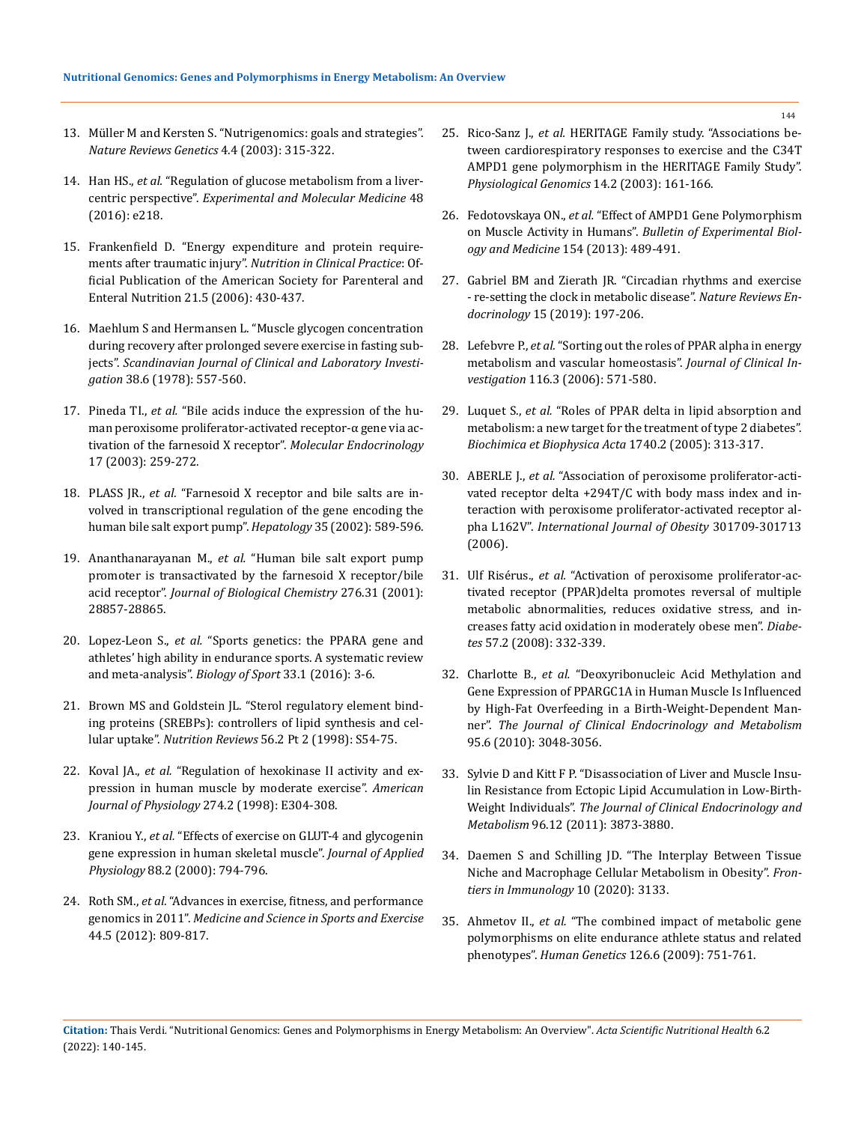- 13. [Müller M and Kersten S. "Nutrigenomics: goals and strategies".](https://pubmed.ncbi.nlm.nih.gov/12671662/)  *[Nature Reviews Genetics](https://pubmed.ncbi.nlm.nih.gov/12671662/)* 4.4 (2003): 315-322.
- 14. Han HS., *et al.* ["Regulation of glucose metabolism from a liver](https://www.nature.com/articles/emm2015122)centric perspective". *[Experimental and Molecular Medicine](https://www.nature.com/articles/emm2015122)* 48 [\(2016\): e218.](https://www.nature.com/articles/emm2015122)
- 15. [Frankenfield D. "Energy expenditure and protein require](https://pubmed.ncbi.nlm.nih.gov/16998142/)ments after traumatic injury". *[Nutrition in Clinical Practice](https://pubmed.ncbi.nlm.nih.gov/16998142/)*: Of[ficial Publication of the American Society for Parenteral and](https://pubmed.ncbi.nlm.nih.gov/16998142/)  [Enteral Nutrition 21.5 \(2006\): 430-437.](https://pubmed.ncbi.nlm.nih.gov/16998142/)
- 16. [Maehlum S and Hermansen L. "Muscle glycogen concentration](https://pubmed.ncbi.nlm.nih.gov/705238/)  [during recovery after prolonged severe exercise in fasting sub](https://pubmed.ncbi.nlm.nih.gov/705238/)jects". *[Scandinavian Journal of Clinical and Laboratory Investi](https://pubmed.ncbi.nlm.nih.gov/705238/)gation* [38.6 \(1978\): 557-560.](https://pubmed.ncbi.nlm.nih.gov/705238/)
- 17. Pineda TI., *et al.* ["Bile acids induce the expression of the hu](https://pubmed.ncbi.nlm.nih.gov/12554753/)[man peroxisome proliferator-activated receptor-α gene via ac](https://pubmed.ncbi.nlm.nih.gov/12554753/)[tivation of the farnesoid X receptor".](https://pubmed.ncbi.nlm.nih.gov/12554753/) *Molecular Endocrinology*  [17 \(2003\): 259-272.](https://pubmed.ncbi.nlm.nih.gov/12554753/)
- 18. PLASS JR., *et al.* ["Farnesoid X receptor and bile salts are in](https://europepmc.org/article/MED/11870371)[volved in transcriptional regulation of the gene encoding the](https://europepmc.org/article/MED/11870371)  [human bile salt export pump".](https://europepmc.org/article/MED/11870371) *Hepatology* 35 (2002): 589-596.
- 19. Ananthanarayanan M., *et al.* ["Human bile salt export pump](https://www.sciencedirect.com/science/article/pii/S002192582080341X)  [promoter is transactivated by the farnesoid X receptor/bile](https://www.sciencedirect.com/science/article/pii/S002192582080341X)  acid receptor". *[Journal of Biological Chemistry](https://www.sciencedirect.com/science/article/pii/S002192582080341X)* 276.31 (2001): [28857-28865.](https://www.sciencedirect.com/science/article/pii/S002192582080341X)
- 20. Lopez-Leon S., *et al.* ["Sports genetics: the PPARA gene and](https://pubmed.ncbi.nlm.nih.gov/26985127/)  [athletes' high ability in endurance sports. A systematic review](https://pubmed.ncbi.nlm.nih.gov/26985127/)  and meta-analysis". *[Biology of Sport](https://pubmed.ncbi.nlm.nih.gov/26985127/)* 33.1 (2016): 3-6.
- 21. [Brown MS and Goldstein JL. "Sterol regulatory element bind](https://pubmed.ncbi.nlm.nih.gov/9564170/)[ing proteins \(SREBPs\): controllers of lipid synthesis and cel](https://pubmed.ncbi.nlm.nih.gov/9564170/)lular uptake". *Nutrition Reviews* [56.2 Pt 2 \(1998\): S54-75.](https://pubmed.ncbi.nlm.nih.gov/9564170/)
- 22. Koval JA., *et al.* ["Regulation of hexokinase II activity and ex](https://pubmed.ncbi.nlm.nih.gov/9486162/)[pression in human muscle by moderate exercise".](https://pubmed.ncbi.nlm.nih.gov/9486162/) *American [Journal of Physiology](https://pubmed.ncbi.nlm.nih.gov/9486162/)* 274.2 (1998): E304-308.
- 23. Kraniou Y., *et al.* ["Effects of exercise on GLUT-4 and glycogenin](https://pubmed.ncbi.nlm.nih.gov/10658052/)  [gene expression in human skeletal muscle".](https://pubmed.ncbi.nlm.nih.gov/10658052/) *Journal of Applied Physiology* [88.2 \(2000\): 794-796.](https://pubmed.ncbi.nlm.nih.gov/10658052/)
- 24. Roth SM., *et al.* ["Advances in exercise, fitness, and performance](https://pubmed.ncbi.nlm.nih.gov/22330029/)  genomics in 2011". *[Medicine and Science in Sports and Exercise](https://pubmed.ncbi.nlm.nih.gov/22330029/)* [44.5 \(2012\): 809-817.](https://pubmed.ncbi.nlm.nih.gov/22330029/)
- 25. Rico-Sanz J., *et al.* [HERITAGE Family study. "Associations be](https://pubmed.ncbi.nlm.nih.gov/12783984/)[tween cardiorespiratory responses to exercise and the C34T](https://pubmed.ncbi.nlm.nih.gov/12783984/)  [AMPD1 gene polymorphism in the HERITAGE Family Study".](https://pubmed.ncbi.nlm.nih.gov/12783984/)  *[Physiological Genomics](https://pubmed.ncbi.nlm.nih.gov/12783984/)* 14.2 (2003): 161-166.
- 26. Fedotovskaya ON., *et al.* ["Effect of AMPD1 Gene Polymorphism](https://pubmed.ncbi.nlm.nih.gov/23486588/)  on Muscle Activity in Humans". *[Bulletin of Experimental Biol](https://pubmed.ncbi.nlm.nih.gov/23486588/)ogy and Medicine* [154 \(2013\): 489-491.](https://pubmed.ncbi.nlm.nih.gov/23486588/)
- 27. [Gabriel BM and Zierath JR. "Circadian rhythms and exercise](https://pubmed.ncbi.nlm.nih.gov/30655625/)  [- re-setting the clock in metabolic disease".](https://pubmed.ncbi.nlm.nih.gov/30655625/) *Nature Reviews Endocrinology* [15 \(2019\): 197-206.](https://pubmed.ncbi.nlm.nih.gov/30655625/)
- 28. Lefebvre P., *et al.* ["Sorting out the roles of PPAR alpha in energy](https://pubmed.ncbi.nlm.nih.gov/16511589/)  [metabolism and vascular homeostasis".](https://pubmed.ncbi.nlm.nih.gov/16511589/) *Journal of Clinical Investigation* [116.3 \(2006\): 571-580.](https://pubmed.ncbi.nlm.nih.gov/16511589/)
- 29. Luquet S., *et al.* ["Roles of PPAR delta in lipid absorption and](https://pubmed.ncbi.nlm.nih.gov/15949697/)  [metabolism: a new target for the treatment of type 2 diabetes".](https://pubmed.ncbi.nlm.nih.gov/15949697/)  *[Biochimica et Biophysica Acta](https://pubmed.ncbi.nlm.nih.gov/15949697/)* 1740.2 (2005): 313-317.
- 30. ABERLE J., *et al.* ["Association of peroxisome proliferator-acti](https://go.gale.com/ps/i.do?id=GALE%7CA188438023&sid=googleScholar&v=2.1&it=r&linkaccess=abs&issn=03070565&p=HRCA&sw=w&userGroupName=anon%7E93856384)[vated receptor delta +294T/C with body mass index and in](https://go.gale.com/ps/i.do?id=GALE%7CA188438023&sid=googleScholar&v=2.1&it=r&linkaccess=abs&issn=03070565&p=HRCA&sw=w&userGroupName=anon%7E93856384)[teraction with peroxisome proliferator-activated receptor al](https://go.gale.com/ps/i.do?id=GALE%7CA188438023&sid=googleScholar&v=2.1&it=r&linkaccess=abs&issn=03070565&p=HRCA&sw=w&userGroupName=anon%7E93856384)pha L162V". *[International Journal of Obesity](https://go.gale.com/ps/i.do?id=GALE%7CA188438023&sid=googleScholar&v=2.1&it=r&linkaccess=abs&issn=03070565&p=HRCA&sw=w&userGroupName=anon%7E93856384)* 301709-301713 [\(2006\).](https://go.gale.com/ps/i.do?id=GALE%7CA188438023&sid=googleScholar&v=2.1&it=r&linkaccess=abs&issn=03070565&p=HRCA&sw=w&userGroupName=anon%7E93856384)
- 31. Ulf Risérus., *et al.* ["Activation of peroxisome proliferator-ac](https://pubmed.ncbi.nlm.nih.gov/18024853/)[tivated receptor \(PPAR\)delta promotes reversal of multiple](https://pubmed.ncbi.nlm.nih.gov/18024853/)  [metabolic abnormalities, reduces oxidative stress, and in](https://pubmed.ncbi.nlm.nih.gov/18024853/)[creases fatty acid oxidation in moderately obese men".](https://pubmed.ncbi.nlm.nih.gov/18024853/) *Diabetes* [57.2 \(2008\): 332-339.](https://pubmed.ncbi.nlm.nih.gov/18024853/)
- 32. Charlotte B., *et al.* ["Deoxyribonucleic Acid Methylation and](https://pubmed.ncbi.nlm.nih.gov/20410232/)  [Gene Expression of PPARGC1A in Human Muscle Is Influenced](https://pubmed.ncbi.nlm.nih.gov/20410232/)  [by High-Fat Overfeeding in a Birth-Weight-Dependent Man](https://pubmed.ncbi.nlm.nih.gov/20410232/)ner". *[The Journal of Clinical Endocrinology and Metabolism](https://pubmed.ncbi.nlm.nih.gov/20410232/)* [95.6 \(2010\): 3048-3056.](https://pubmed.ncbi.nlm.nih.gov/20410232/)
- 33. [Sylvie D and Kitt F P. "Disassociation of Liver and Muscle Insu](https://www.ncbi.nlm.nih.gov/pmc/articles/PMC3232622/)[lin Resistance from Ectopic Lipid Accumulation in Low-Birth-](https://www.ncbi.nlm.nih.gov/pmc/articles/PMC3232622/)Weight Individuals". *[The Journal of Clinical Endocrinology and](https://www.ncbi.nlm.nih.gov/pmc/articles/PMC3232622/)  Metabolism* [96.12 \(2011\): 3873-3880.](https://www.ncbi.nlm.nih.gov/pmc/articles/PMC3232622/)
- 34. [Daemen S and Schilling JD. "The Interplay Between Tissue](https://pubmed.ncbi.nlm.nih.gov/32038642/)  [Niche and Macrophage Cellular Metabolism in Obesity".](https://pubmed.ncbi.nlm.nih.gov/32038642/) *Fron[tiers in Immunology](https://pubmed.ncbi.nlm.nih.gov/32038642/)* 10 (2020): 3133.
- 35. Ahmetov II., *et al.* ["The combined impact of metabolic gene](https://pubmed.ncbi.nlm.nih.gov/19653005/)  [polymorphisms on elite endurance athlete status and related](https://pubmed.ncbi.nlm.nih.gov/19653005/)  phenotypes". *Human Genetics* [126.6 \(2009\): 751-761.](https://pubmed.ncbi.nlm.nih.gov/19653005/)

**Citation:** Thais Verdi*.* "Nutritional Genomics: Genes and Polymorphisms in Energy Metabolism: An Overview". *Acta Scientific Nutritional Health* 6.2 (2022): 140-145.